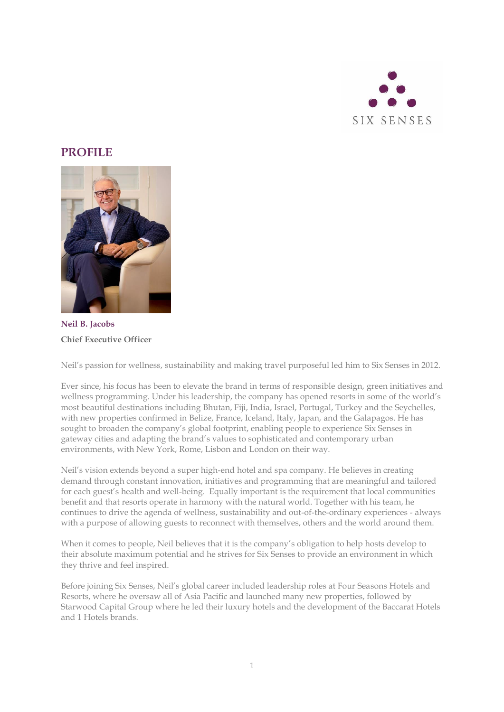

## **PROFILE**



**Neil B. Jacobs Chief Executive Officer**

Neil's passion for wellness, sustainability and making travel purposeful led him to Six Senses in 2012.

Ever since, his focus has been to elevate the brand in terms of responsible design, green initiatives and wellness programming. Under his leadership, the company has opened resorts in some of the world's most beautiful destinations including Bhutan, Fiji, India, Israel, Portugal, Turkey and the Seychelles, with new properties confirmed in Belize, France, Iceland, Italy, Japan, and the Galapagos. He has sought to broaden the company's global footprint, enabling people to experience Six Senses in gateway cities and adapting the brand's values to sophisticated and contemporary urban environments, with New York, Rome, Lisbon and London on their way.

Neil's vision extends beyond a super high-end hotel and spa company. He believes in creating demand through constant innovation, initiatives and programming that are meaningful and tailored for each guest's health and well-being. Equally important is the requirement that local communities benefit and that resorts operate in harmony with the natural world. Together with his team, he continues to drive the agenda of wellness, sustainability and out-of-the-ordinary experiences - always with a purpose of allowing guests to reconnect with themselves, others and the world around them.

When it comes to people, Neil believes that it is the company's obligation to help hosts develop to their absolute maximum potential and he strives for Six Senses to provide an environment in which they thrive and feel inspired.

Before joining Six Senses, Neil's global career included leadership roles at Four Seasons Hotels and Resorts, where he oversaw all of Asia Pacific and launched many new properties, followed by Starwood Capital Group where he led their luxury hotels and the development of the Baccarat Hotels and 1 Hotels brands.